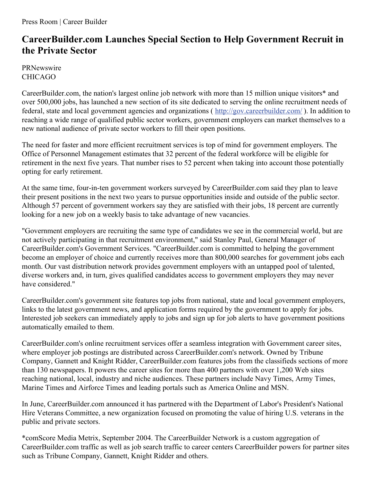## **CareerBuilder.com Launches Special Section to Help Government Recruit in the Private Sector**

**PRNewswire** CHICAGO

CareerBuilder.com, the nation's largest online job network with more than 15 million unique visitors\* and over 500,000 jobs, has launched a new section of its site dedicated to serving the online recruitment needs of federal, state and local government agencies and organizations ( <http://gov.careerbuilder.com/> ). In addition to reaching a wide range of qualified public sector workers, government employers can market themselves to a new national audience of private sector workers to fill their open positions.

The need for faster and more efficient recruitment services is top of mind for government employers. The Office of Personnel Management estimates that 32 percent of the federal workforce will be eligible for retirement in the next five years. That number rises to 52 percent when taking into account those potentially opting for early retirement.

At the same time, four-in-ten government workers surveyed by CareerBuilder.com said they plan to leave their present positions in the next two years to pursue opportunities inside and outside of the public sector. Although 57 percent of government workers say they are satisfied with their jobs, 18 percent are currently looking for a new job on a weekly basis to take advantage of new vacancies.

"Government employers are recruiting the same type of candidates we see in the commercial world, but are not actively participating in that recruitment environment," said Stanley Paul, General Manager of CareerBuilder.com's Government Services. "CareerBuilder.com is committed to helping the government become an employer of choice and currently receives more than 800,000 searches for government jobs each month. Our vast distribution network provides government employers with an untapped pool of talented, diverse workers and, in turn, gives qualified candidates access to government employers they may never have considered."

CareerBuilder.com's government site features top jobs from national, state and local government employers, links to the latest government news, and application forms required by the government to apply for jobs. Interested job seekers can immediately apply to jobs and sign up for job alerts to have government positions automatically emailed to them.

CareerBuilder.com's online recruitment services offer a seamless integration with Government career sites, where employer job postings are distributed across CareerBuilder.com's network. Owned by Tribune Company, Gannett and Knight Ridder, CareerBuilder.com features jobs from the classifieds sections of more than 130 newspapers. It powers the career sites for more than 400 partners with over 1,200 Web sites reaching national, local, industry and niche audiences. These partners include Navy Times, Army Times, Marine Times and Airforce Times and leading portals such as America Online and MSN.

In June, CareerBuilder.com announced it has partnered with the Department of Labor's President's National Hire Veterans Committee, a new organization focused on promoting the value of hiring U.S. veterans in the public and private sectors.

\*comScore Media Metrix, September 2004. The CareerBuilder Network is a custom aggregation of CareerBuilder.com traffic as well as job search traffic to career centers CareerBuilder powers for partner sites such as Tribune Company, Gannett, Knight Ridder and others.